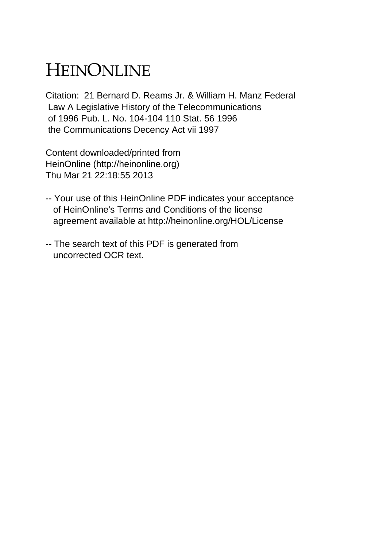# HEINONLINE

Citation: 21 Bernard D. Reams Jr. & William H. Manz Federal Law A Legislative History of the Telecommunications of 1996 Pub. L. No. 104-104 110 Stat. 56 1996 the Communications Decency Act vii 1997

Content downloaded/printed from HeinOnline (http://heinonline.org) Thu Mar 21 22:18:55 2013

- -- Your use of this HeinOnline PDF indicates your acceptance of HeinOnline's Terms and Conditions of the license agreement available at http://heinonline.org/HOL/License
- -- The search text of this PDF is generated from uncorrected OCR text.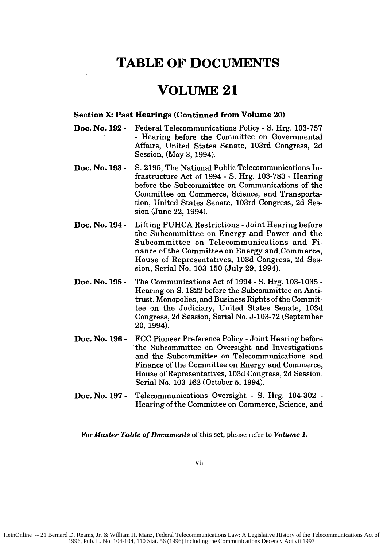### **TABLE OF DOCUMENTS**

### **VOLUME 21**

#### **Section X: Past Hearings (Continued from Volume 20)**

- **Doc. No. 192 -** Federal Telecommunications Policy **- S.** Hrg. **103-757 -** Hearing before the Committee on Governmental Affairs, United States Senate, 103rd Congress, **2d** Session, (May **3,** 1994).
- **Doc. No. 193 - S.** 2195, The National Public Telecommunications Infrastructure Act of 1994 - S. Hrg. 103-783 - Hearing before the Subcommittee on Communications of the Committee on Commerce, Science, and Transportation, United States Senate, 103rd Congress, 2d Session (June 22, 1994).
- **Doc. No. 194 -** Lifting PUHCA Restrictions -Joint Hearing before the Subcommittee on Energy and Power and the Subcommittee on Telecommunications and Finance of the Committee on Energy and Commerce, House of Representatives, 103d Congress, 2d Session, Serial No. 103-150 (July 29, 1994).
- **Doc. No. 195 -** The Communications Act of 1994 - S. Hrg. 103-1035 - Hearing on **S.** 1822 before the Subcommittee on Antitrust, Monopolies, and Business Rights of the Committee on the Judiciary, United States Senate, 103d Congress, 2d Session, Serial No. J-103-72 (September 20, 1994).
- **Doc. No. 196 -** FCC Pioneer Preference Policy -Joint Hearing before the Subcommittee on Oversight and Investigations and the Subcommittee on Telecommunications and Finance of the Committee on Energy and Commerce, House of Representatives, 103d Congress, 2d Session, Serial No. 103-162 (October 5, 1994).
- **Doc. No. 197 -** Telecommunications Oversight - S. Hrg. 104-302 - Hearing of the Committee on Commerce, Science, and

For *Master Table of Documents* of this set, please refer to *Volume 1.*

vii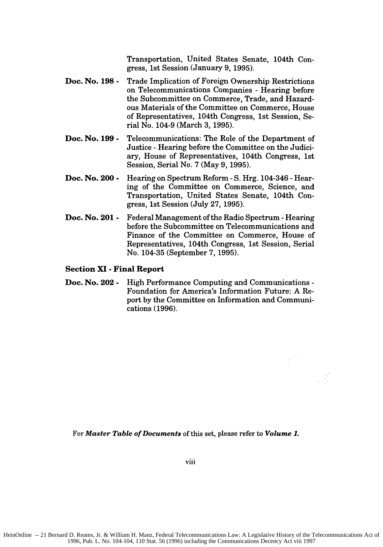Transportation, United States Senate, 104th Congress, 1st Session (January 9, 1995).

- **Doc. No. 198 -** Trade Implication of Foreign Ownership Restrictions on Telecommunications Companies - Hearing before the Subcommittee on Commerce, Trade, and Hazardous Materials of the Committee on Commerce, House of Representatives, 104th Congress, 1st Session, Serial No. 104-9 (March 3, 1995).
- **Doc. No. 199 -** Telecommunications: The Role of the Department of Justice - Hearing before the Committee on the Judiciary, House of Representatives, 104th Congress, 1st Session, Serial No. 7 (May 9, 1995).
- **Doc. No. 200 -** Hearing on Spectrum Reform - S. Hrg. 104-346 - Hearing of the Committee on Commerce, Science, and Transportation, United States Senate, 104th Congress, 1st Session (July 27, 1995).
- **Doc. No. 201 -** Federal Management of the Radio Spectrum - Hearing before the Subcommittee on Telecommunications and Finance of the Committee on Commerce, House of Representatives, 104th Congress, 1st Session, Serial No. 104-35 (September 7, 1995).

#### **Section XI - Final Report**

**Doc. No. 202 -** High Performance Computing and Communications **-** Foundation for America's Information Future: **A** Report **by** the Committee on Information and Communications **(1996).**

For *Master Table of Documents* of this set, please refer to *Volume 1.*

viii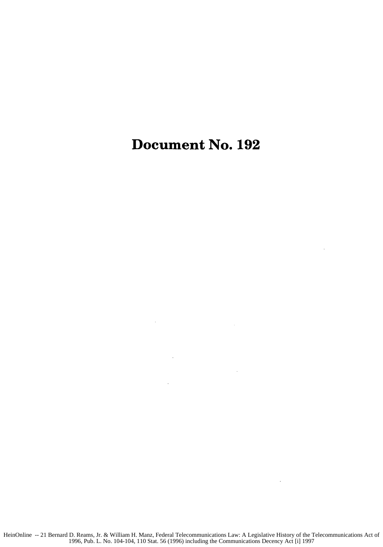## Document No. **192**

 $\mathcal{L}_{\mathcal{A}}$ 

 $\sim 10$ 

l,